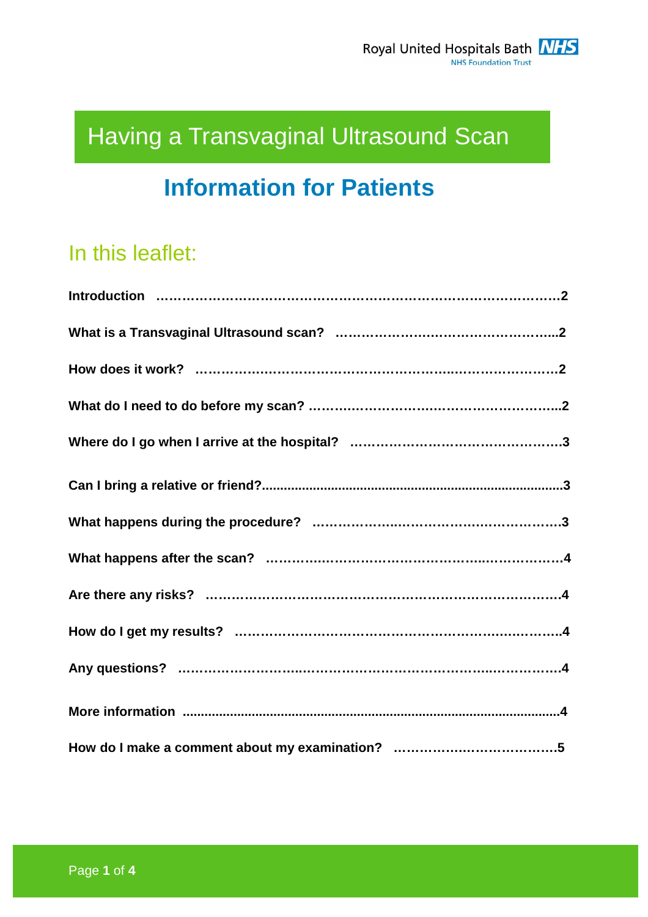# Having a Transvaginal Ultrasound Scan

# **Information for Patients**

# In this leaflet: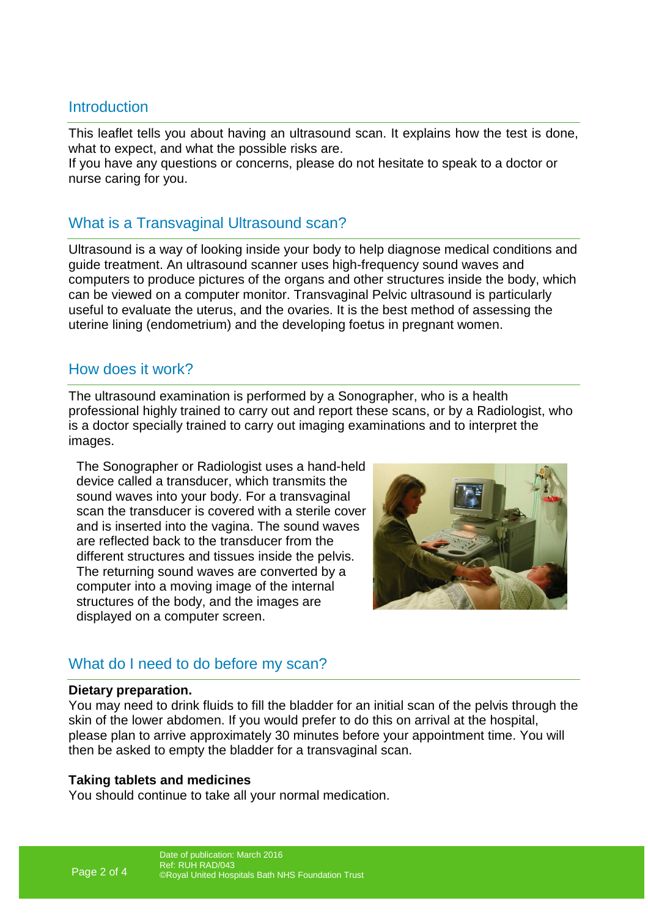## **Introduction**

This leaflet tells you about having an ultrasound scan. It explains how the test is done, what to expect, and what the possible risks are.

If you have any questions or concerns, please do not hesitate to speak to a doctor or nurse caring for you.

# What is a Transvaginal Ultrasound scan?

Ultrasound is a way of looking inside your body to help diagnose medical conditions and guide treatment. An ultrasound scanner uses high-frequency sound waves and computers to produce pictures of the organs and other structures inside the body, which can be viewed on a computer monitor. Transvaginal Pelvic ultrasound is particularly useful to evaluate the uterus, and the ovaries. It is the best method of assessing the uterine lining (endometrium) and the developing foetus in pregnant women.

## How does it work?

The ultrasound examination is performed by a Sonographer, who is a health professional highly trained to carry out and report these scans, or by a Radiologist, who is a doctor specially trained to carry out imaging examinations and to interpret the images.

The Sonographer or Radiologist uses a hand-held device called a transducer, which transmits the sound waves into your body. For a transvaginal scan the transducer is covered with a sterile cover and is inserted into the vagina. The sound waves are reflected back to the transducer from the different structures and tissues inside the pelvis. The returning sound waves are converted by a computer into a moving image of the internal structures of the body, and the images are displayed on a computer screen.



# What do I need to do before my scan?

#### **Dietary preparation.**

You may need to drink fluids to fill the bladder for an initial scan of the pelvis through the skin of the lower abdomen. If you would prefer to do this on arrival at the hospital, please plan to arrive approximately 30 minutes before your appointment time. You will then be asked to empty the bladder for a transvaginal scan.

#### **Taking tablets and medicines**

You should continue to take all your normal medication.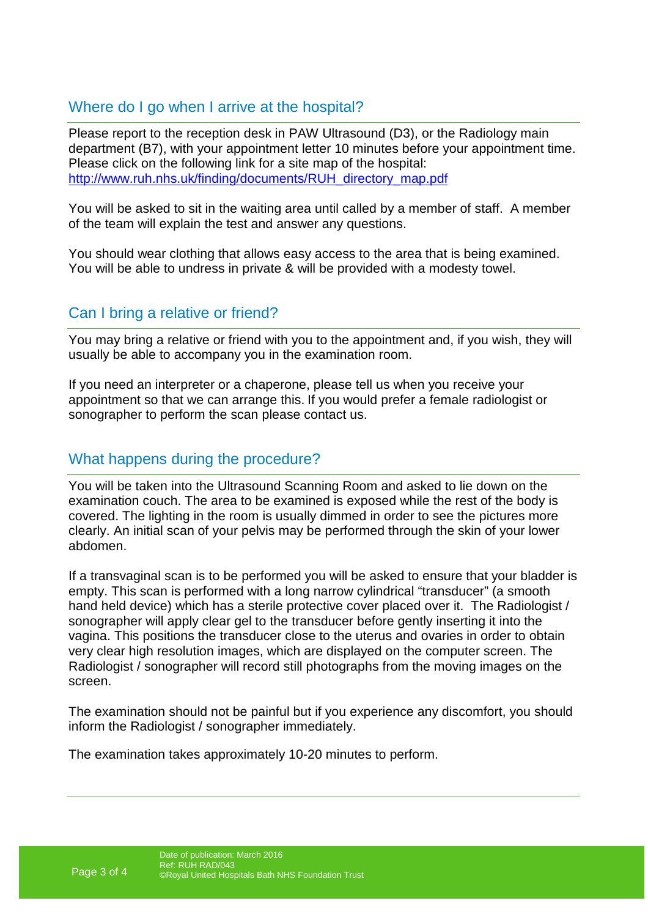# Where do I go when I arrive at the hospital?

Please report to the reception desk in PAW Ultrasound (D3), or the Radiology main department (B7), with your appointment letter 10 minutes before your appointment time. Please click on the following link for a site map of the hospital: http://www.ruh.nhs.uk/finding/documents/RUH\_directory\_map.pdf

You will be asked to sit in the waiting area until called by a member of staff. A member of the team will explain the test and answer any questions.

You should wear clothing that allows easy access to the area that is being examined. You will be able to undress in private & will be provided with a modesty towel.

# Can I bring a relative or friend?

You may bring a relative or friend with you to the appointment and, if you wish, they will usually be able to accompany you in the examination room.

If you need an interpreter or a chaperone, please tell us when you receive your appointment so that we can arrange this. If you would prefer a female radiologist or sonographer to perform the scan please contact us.

# What happens during the procedure?

You will be taken into the Ultrasound Scanning Room and asked to lie down on the examination couch. The area to be examined is exposed while the rest of the body is covered. The lighting in the room is usually dimmed in order to see the pictures more clearly. An initial scan of your pelvis may be performed through the skin of your lower abdomen.

If a transvaginal scan is to be performed you will be asked to ensure that your bladder is empty. This scan is performed with a long narrow cylindrical "transducer" (a smooth hand held device) which has a sterile protective cover placed over it. The Radiologist / sonographer will apply clear gel to the transducer before gently inserting it into the vagina. This positions the transducer close to the uterus and ovaries in order to obtain very clear high resolution images, which are displayed on the computer screen. The Radiologist / sonographer will record still photographs from the moving images on the screen.

The examination should not be painful but if you experience any discomfort, you should inform the Radiologist / sonographer immediately.

The examination takes approximately 10-20 minutes to perform.